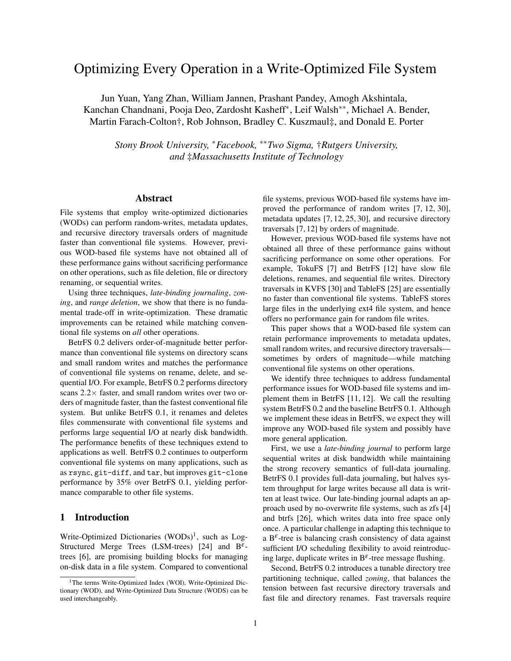# Optimizing Every Operation in a Write-Optimized File System

Jun Yuan, Yang Zhan, William Jannen, Prashant Pandey, Amogh Akshintala, Kanchan Chandnani, Pooja Deo, Zardosht Kasheff<sup>∗</sup> , Leif Walsh∗∗, Michael A. Bender, Martin Farach-Colton†, Rob Johnson, Bradley C. Kuszmaul‡, and Donald E. Porter

*Stony Brook University,* <sup>∗</sup>*Facebook,* ∗∗*Two Sigma,* †*Rutgers University, and* ‡*Massachusetts Institute of Technology*

#### Abstract

File systems that employ write-optimized dictionaries (WODs) can perform random-writes, metadata updates, and recursive directory traversals orders of magnitude faster than conventional file systems. However, previous WOD-based file systems have not obtained all of these performance gains without sacrificing performance on other operations, such as file deletion, file or directory renaming, or sequential writes.

Using three techniques, *late-binding journaling*, *zoning*, and *range deletion*, we show that there is no fundamental trade-off in write-optimization. These dramatic improvements can be retained while matching conventional file systems on *all* other operations.

BetrFS 0.2 delivers order-of-magnitude better performance than conventional file systems on directory scans and small random writes and matches the performance of conventional file systems on rename, delete, and sequential I/O. For example, BetrFS 0.2 performs directory scans  $2.2\times$  faster, and small random writes over two orders of magnitude faster, than the fastest conventional file system. But unlike BetrFS 0.1, it renames and deletes files commensurate with conventional file systems and performs large sequential I/O at nearly disk bandwidth. The performance benefits of these techniques extend to applications as well. BetrFS 0.2 continues to outperform conventional file systems on many applications, such as as rsync, git-diff, and tar, but improves git-clone performance by 35% over BetrFS 0.1, yielding performance comparable to other file systems.

## 1 Introduction

Write-Optimized Dictionaries  $(WODs)^1$ , such as Log-Structured Merge Trees (LSM-trees) [24] and  $B^{\varepsilon}$ trees [6], are promising building blocks for managing on-disk data in a file system. Compared to conventional file systems, previous WOD-based file systems have improved the performance of random writes [7, 12, 30], metadata updates [7, 12, 25, 30], and recursive directory traversals [7, 12] by orders of magnitude.

However, previous WOD-based file systems have not obtained all three of these performance gains without sacrificing performance on some other operations. For example, TokuFS [7] and BetrFS [12] have slow file deletions, renames, and sequential file writes. Directory traversals in KVFS [30] and TableFS [25] are essentially no faster than conventional file systems. TableFS stores large files in the underlying ext4 file system, and hence offers no performance gain for random file writes.

This paper shows that a WOD-based file system can retain performance improvements to metadata updates, small random writes, and recursive directory traversals sometimes by orders of magnitude—while matching conventional file systems on other operations.

We identify three techniques to address fundamental performance issues for WOD-based file systems and implement them in BetrFS [11, 12]. We call the resulting system BetrFS 0.2 and the baseline BetrFS 0.1. Although we implement these ideas in BetrFS, we expect they will improve any WOD-based file system and possibly have more general application.

First, we use a *late-binding journal* to perform large sequential writes at disk bandwidth while maintaining the strong recovery semantics of full-data journaling. BetrFS 0.1 provides full-data journaling, but halves system throughput for large writes because all data is written at least twice. Our late-binding journal adapts an approach used by no-overwrite file systems, such as zfs [4] and btrfs [26], which writes data into free space only once. A particular challenge in adapting this technique to a  $B^{\varepsilon}$ -tree is balancing crash consistency of data against sufficient I/O scheduling flexibility to avoid reintroducing large, duplicate writes in  $B^{\varepsilon}$ -tree message flushing.

Second, BetrFS 0.2 introduces a tunable directory tree partitioning technique, called *zoning*, that balances the tension between fast recursive directory traversals and fast file and directory renames. Fast traversals require

<sup>&</sup>lt;sup>1</sup>The terms Write-Optimized Index (WOI), Write-Optimized Dictionary (WOD), and Write-Optimized Data Structure (WODS) can be used interchangeably.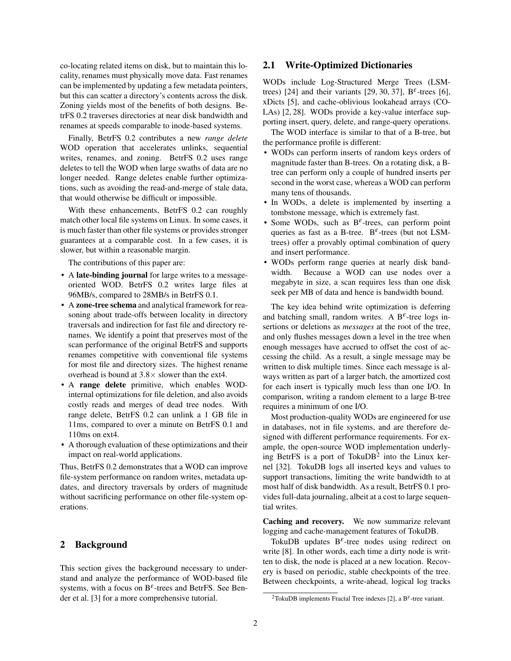co-locating related items on disk, but to maintain this locality, renames must physically move data. Fast renames can be implemented by updating a few metadata pointers, but this can scatter a directory's contents across the disk. Zoning yields most of the benefits of both designs. BetrFS 0.2 traverses directories at near disk bandwidth and renames at speeds comparable to inode-based systems.

Finally, BetrFS 0.2 contributes a new *range delete* WOD operation that accelerates unlinks, sequential writes, renames, and zoning. BetrFS 0.2 uses range deletes to tell the WOD when large swaths of data are no longer needed. Range deletes enable further optimizations, such as avoiding the read-and-merge of stale data, that would otherwise be difficult or impossible.

With these enhancements, BetrFS 0.2 can roughly match other local file systems on Linux. In some cases, it is much faster than other file systems or provides stronger guarantees at a comparable cost. In a few cases, it is slower, but within a reasonable margin.

The contributions of this paper are:

- A late-binding journal for large writes to a messageoriented WOD. BetrFS 0.2 writes large files at 96MB/s, compared to 28MB/s in BetrFS 0.1.
- A zone-tree schema and analytical framework for reasoning about trade-offs between locality in directory traversals and indirection for fast file and directory renames. We identify a point that preserves most of the scan performance of the original BetrFS and supports renames competitive with conventional file systems for most file and directory sizes. The highest rename overhead is bound at  $3.8 \times$  slower than the ext4.
- A range delete primitive, which enables WODinternal optimizations for file deletion, and also avoids costly reads and merges of dead tree nodes. With range delete, BetrFS 0.2 can unlink a 1 GB file in 11ms, compared to over a minute on BetrFS 0.1 and 110ms on ext4.
- A thorough evaluation of these optimizations and their impact on real-world applications.

Thus, BetrFS 0.2 demonstrates that a WOD can improve file-system performance on random writes, metadata updates, and directory traversals by orders of magnitude without sacrificing performance on other file-system operations.

#### 2 Background

This section gives the background necessary to understand and analyze the performance of WOD-based file systems, with a focus on  $B^{\varepsilon}$ -trees and BetrFS. See Bender et al. [3] for a more comprehensive tutorial.

## 2.1 Write-Optimized Dictionaries

WODs include Log-Structured Merge Trees (LSMtrees) [24] and their variants [29, 30, 37],  $B^{\varepsilon}$ -trees [6], xDicts [5], and cache-oblivious lookahead arrays (CO-LAs) [2, 28]. WODs provide a key-value interface supporting insert, query, delete, and range-query operations.

The WOD interface is similar to that of a B-tree, but the performance profile is different:

- WODs can perform inserts of random keys orders of magnitude faster than B-trees. On a rotating disk, a Btree can perform only a couple of hundred inserts per second in the worst case, whereas a WOD can perform many tens of thousands.
- In WODs, a delete is implemented by inserting a tombstone message, which is extremely fast.
- Some WODs, such as  $B^{\varepsilon}$ -trees, can perform point queries as fast as a B-tree.  $B^{\varepsilon}$ -trees (but not LSMtrees) offer a provably optimal combination of query and insert performance.
- WODs perform range queries at nearly disk bandwidth. Because a WOD can use nodes over a megabyte in size, a scan requires less than one disk seek per MB of data and hence is bandwidth bound.

The key idea behind write optimization is deferring and batching small, random writes. A  $B^{\varepsilon}$ -tree logs insertions or deletions as *messages* at the root of the tree, and only flushes messages down a level in the tree when enough messages have accrued to offset the cost of accessing the child. As a result, a single message may be written to disk multiple times. Since each message is always written as part of a larger batch, the amortized cost for each insert is typically much less than one I/O. In comparison, writing a random element to a large B-tree requires a minimum of one I/O.

Most production-quality WODs are engineered for use in databases, not in file systems, and are therefore designed with different performance requirements. For example, the open-source WOD implementation underlying BetrFS is a port of Toku $DB^2$  into the Linux kernel [32]. TokuDB logs all inserted keys and values to support transactions, limiting the write bandwidth to at most half of disk bandwidth. As a result, BetrFS 0.1 provides full-data journaling, albeit at a cost to large sequential writes.

Caching and recovery. We now summarize relevant logging and cache-management features of TokuDB.

TokuDB updates  $B^{\varepsilon}$ -tree nodes using redirect on write [8]. In other words, each time a dirty node is written to disk, the node is placed at a new location. Recovery is based on periodic, stable checkpoints of the tree. Between checkpoints, a write-ahead, logical log tracks

<sup>&</sup>lt;sup>2</sup>TokuDB implements Fractal Tree indexes [2], a B<sup> $\varepsilon$ </sup>-tree variant.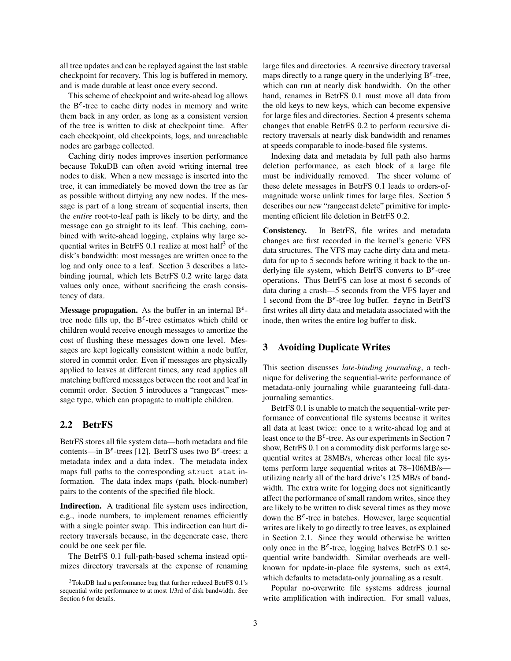all tree updates and can be replayed against the last stable checkpoint for recovery. This log is buffered in memory, and is made durable at least once every second.

This scheme of checkpoint and write-ahead log allows the  $B^{\varepsilon}$ -tree to cache dirty nodes in memory and write them back in any order, as long as a consistent version of the tree is written to disk at checkpoint time. After each checkpoint, old checkpoints, logs, and unreachable nodes are garbage collected.

Caching dirty nodes improves insertion performance because TokuDB can often avoid writing internal tree nodes to disk. When a new message is inserted into the tree, it can immediately be moved down the tree as far as possible without dirtying any new nodes. If the message is part of a long stream of sequential inserts, then the *entire* root-to-leaf path is likely to be dirty, and the message can go straight to its leaf. This caching, combined with write-ahead logging, explains why large sequential writes in BetrFS  $0.1$  realize at most half<sup>3</sup> of the disk's bandwidth: most messages are written once to the log and only once to a leaf. Section 3 describes a latebinding journal, which lets BetrFS 0.2 write large data values only once, without sacrificing the crash consistency of data.

Message propagation. As the buffer in an internal  $B^{\varepsilon}$ tree node fills up, the  $B^{\varepsilon}$ -tree estimates which child or children would receive enough messages to amortize the cost of flushing these messages down one level. Messages are kept logically consistent within a node buffer, stored in commit order. Even if messages are physically applied to leaves at different times, any read applies all matching buffered messages between the root and leaf in commit order. Section 5 introduces a "rangecast" message type, which can propagate to multiple children.

## 2.2 BetrFS

BetrFS stores all file system data—both metadata and file contents—in  $B^{\varepsilon}$ -trees [12]. BetrFS uses two  $B^{\varepsilon}$ -trees: a metadata index and a data index. The metadata index maps full paths to the corresponding struct stat information. The data index maps (path, block-number) pairs to the contents of the specified file block.

Indirection. A traditional file system uses indirection, e.g., inode numbers, to implement renames efficiently with a single pointer swap. This indirection can hurt directory traversals because, in the degenerate case, there could be one seek per file.

The BetrFS 0.1 full-path-based schema instead optimizes directory traversals at the expense of renaming large files and directories. A recursive directory traversal maps directly to a range query in the underlying  $B^{\varepsilon}$ -tree, which can run at nearly disk bandwidth. On the other hand, renames in BetrFS 0.1 must move all data from the old keys to new keys, which can become expensive for large files and directories. Section 4 presents schema changes that enable BetrFS 0.2 to perform recursive directory traversals at nearly disk bandwidth and renames at speeds comparable to inode-based file systems.

Indexing data and metadata by full path also harms deletion performance, as each block of a large file must be individually removed. The sheer volume of these delete messages in BetrFS 0.1 leads to orders-ofmagnitude worse unlink times for large files. Section 5 describes our new "rangecast delete" primitive for implementing efficient file deletion in BetrFS 0.2.

Consistency. In BetrFS, file writes and metadata changes are first recorded in the kernel's generic VFS data structures. The VFS may cache dirty data and metadata for up to 5 seconds before writing it back to the underlying file system, which BetrFS converts to  $B^{\varepsilon}$ -tree operations. Thus BetrFS can lose at most 6 seconds of data during a crash—5 seconds from the VFS layer and 1 second from the  $B^{\varepsilon}$ -tree log buffer. fsync in BetrFS first writes all dirty data and metadata associated with the inode, then writes the entire log buffer to disk.

## 3 Avoiding Duplicate Writes

This section discusses *late-binding journaling*, a technique for delivering the sequential-write performance of metadata-only journaling while guaranteeing full-datajournaling semantics.

BetrFS 0.1 is unable to match the sequential-write performance of conventional file systems because it writes all data at least twice: once to a write-ahead log and at least once to the B<sup> $\varepsilon$ </sup>-tree. As our experiments in Section 7 show, BetrFS 0.1 on a commodity disk performs large sequential writes at 28MB/s, whereas other local file systems perform large sequential writes at 78–106MB/s utilizing nearly all of the hard drive's 125 MB/s of bandwidth. The extra write for logging does not significantly affect the performance of small random writes, since they are likely to be written to disk several times as they move down the  $B^{\varepsilon}$ -tree in batches. However, large sequential writes are likely to go directly to tree leaves, as explained in Section 2.1. Since they would otherwise be written only once in the  $B^{\varepsilon}$ -tree, logging halves BetrFS 0.1 sequential write bandwidth. Similar overheads are wellknown for update-in-place file systems, such as ext4, which defaults to metadata-only journaling as a result.

Popular no-overwrite file systems address journal write amplification with indirection. For small values,

<sup>3</sup>TokuDB had a performance bug that further reduced BetrFS 0.1's sequential write performance to at most 1/3rd of disk bandwidth. See Section 6 for details.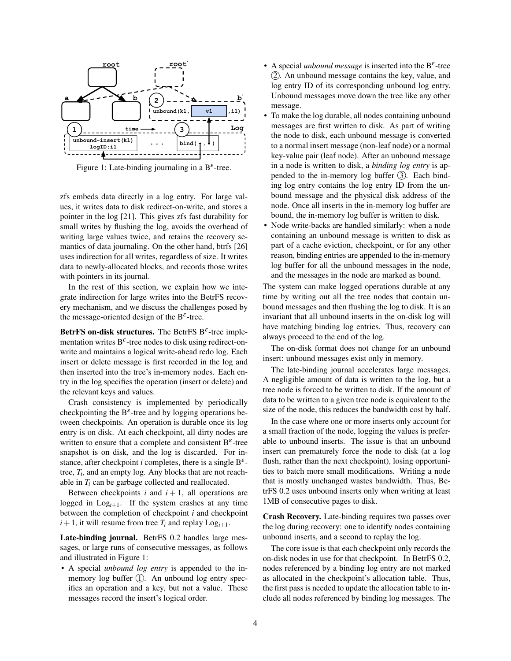

Figure 1: Late-binding journaling in a  $B^{\varepsilon}$ -tree.

zfs embeds data directly in a log entry. For large values, it writes data to disk redirect-on-write, and stores a pointer in the log [21]. This gives zfs fast durability for small writes by flushing the log, avoids the overhead of writing large values twice, and retains the recovery semantics of data journaling. On the other hand, btrfs [26] uses indirection for all writes, regardless of size. It writes data to newly-allocated blocks, and records those writes with pointers in its journal.

In the rest of this section, we explain how we integrate indirection for large writes into the BetrFS recovery mechanism, and we discuss the challenges posed by the message-oriented design of the  $B^{\varepsilon}$ -tree.

BetrFS on-disk structures. The BetrFS  $B^{\varepsilon}$ -tree implementation writes  $B^{\varepsilon}$ -tree nodes to disk using redirect-onwrite and maintains a logical write-ahead redo log. Each insert or delete message is first recorded in the log and then inserted into the tree's in-memory nodes. Each entry in the log specifies the operation (insert or delete) and the relevant keys and values.

Crash consistency is implemented by periodically checkpointing the  $B^{\varepsilon}$ -tree and by logging operations between checkpoints. An operation is durable once its log entry is on disk. At each checkpoint, all dirty nodes are written to ensure that a complete and consistent  $B^{\varepsilon}$ -tree snapshot is on disk, and the log is discarded. For instance, after checkpoint *i* completes, there is a single  $B^{\varepsilon}$ tree, *T<sup>i</sup>* , and an empty log. Any blocks that are not reachable in *T<sup>i</sup>* can be garbage collected and reallocated.

Between checkpoints  $i$  and  $i + 1$ , all operations are logged in  $Log_{i+1}$ . If the system crashes at any time between the completion of checkpoint *i* and checkpoint  $i+1$ , it will resume from tree  $T_i$  and replay  $Log_{i+1}$ .

Late-binding journal. BetrFS 0.2 handles large messages, or large runs of consecutive messages, as follows and illustrated in Figure 1:

• A special *unbound log entry* is appended to the inmemory log buffer  $(1)$ . An unbound log entry specifies an operation and a key, but not a value. These messages record the insert's logical order.

- A special *unbound message* is inserted into the  $B^{\varepsilon}$ -tree (2). An unbound message contains the key, value, and log entry ID of its corresponding unbound log entry. Unbound messages move down the tree like any other message.
- To make the log durable, all nodes containing unbound messages are first written to disk. As part of writing the node to disk, each unbound message is converted to a normal insert message (non-leaf node) or a normal key-value pair (leaf node). After an unbound message in a node is written to disk, a *binding log entry* is appended to the in-memory log buffer  $(3)$ . Each binding log entry contains the log entry ID from the unbound message and the physical disk address of the node. Once all inserts in the in-memory log buffer are bound, the in-memory log buffer is written to disk.
- Node write-backs are handled similarly: when a node containing an unbound message is written to disk as part of a cache eviction, checkpoint, or for any other reason, binding entries are appended to the in-memory log buffer for all the unbound messages in the node, and the messages in the node are marked as bound.

The system can make logged operations durable at any time by writing out all the tree nodes that contain unbound messages and then flushing the log to disk. It is an invariant that all unbound inserts in the on-disk log will have matching binding log entries. Thus, recovery can always proceed to the end of the log.

The on-disk format does not change for an unbound insert: unbound messages exist only in memory.

The late-binding journal accelerates large messages. A negligible amount of data is written to the log, but a tree node is forced to be written to disk. If the amount of data to be written to a given tree node is equivalent to the size of the node, this reduces the bandwidth cost by half.

In the case where one or more inserts only account for a small fraction of the node, logging the values is preferable to unbound inserts. The issue is that an unbound insert can prematurely force the node to disk (at a log flush, rather than the next checkpoint), losing opportunities to batch more small modifications. Writing a node that is mostly unchanged wastes bandwidth. Thus, BetrFS 0.2 uses unbound inserts only when writing at least 1MB of consecutive pages to disk.

Crash Recovery. Late-binding requires two passes over the log during recovery: one to identify nodes containing unbound inserts, and a second to replay the log.

The core issue is that each checkpoint only records the on-disk nodes in use for that checkpoint. In BetrFS 0.2, nodes referenced by a binding log entry are not marked as allocated in the checkpoint's allocation table. Thus, the first pass is needed to update the allocation table to include all nodes referenced by binding log messages. The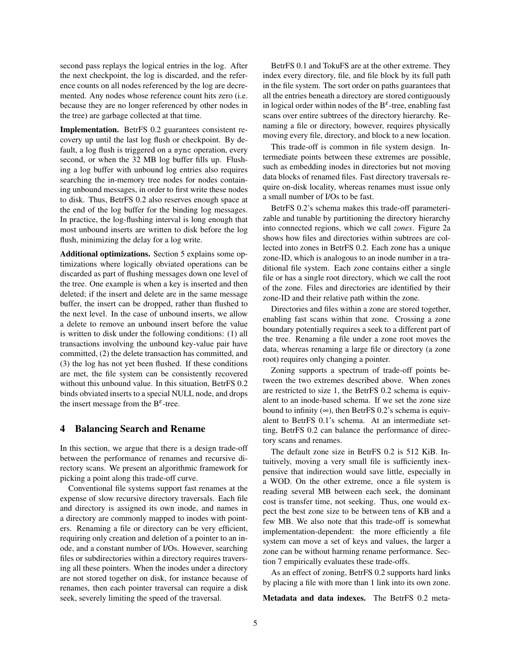second pass replays the logical entries in the log. After the next checkpoint, the log is discarded, and the reference counts on all nodes referenced by the log are decremented. Any nodes whose reference count hits zero (i.e. because they are no longer referenced by other nodes in the tree) are garbage collected at that time.

Implementation. BetrFS 0.2 guarantees consistent recovery up until the last log flush or checkpoint. By default, a log flush is triggered on a sync operation, every second, or when the 32 MB log buffer fills up. Flushing a log buffer with unbound log entries also requires searching the in-memory tree nodes for nodes containing unbound messages, in order to first write these nodes to disk. Thus, BetrFS 0.2 also reserves enough space at the end of the log buffer for the binding log messages. In practice, the log-flushing interval is long enough that most unbound inserts are written to disk before the log flush, minimizing the delay for a log write.

Additional optimizations. Section 5 explains some optimizations where logically obviated operations can be discarded as part of flushing messages down one level of the tree. One example is when a key is inserted and then deleted; if the insert and delete are in the same message buffer, the insert can be dropped, rather than flushed to the next level. In the case of unbound inserts, we allow a delete to remove an unbound insert before the value is written to disk under the following conditions: (1) all transactions involving the unbound key-value pair have committed, (2) the delete transaction has committed, and (3) the log has not yet been flushed. If these conditions are met, the file system can be consistently recovered without this unbound value. In this situation, BetrFS 0.2 binds obviated inserts to a special NULL node, and drops the insert message from the  $B^{\varepsilon}$ -tree.

#### 4 Balancing Search and Rename

In this section, we argue that there is a design trade-off between the performance of renames and recursive directory scans. We present an algorithmic framework for picking a point along this trade-off curve.

Conventional file systems support fast renames at the expense of slow recursive directory traversals. Each file and directory is assigned its own inode, and names in a directory are commonly mapped to inodes with pointers. Renaming a file or directory can be very efficient, requiring only creation and deletion of a pointer to an inode, and a constant number of I/Os. However, searching files or subdirectories within a directory requires traversing all these pointers. When the inodes under a directory are not stored together on disk, for instance because of renames, then each pointer traversal can require a disk seek, severely limiting the speed of the traversal.

BetrFS 0.1 and TokuFS are at the other extreme. They index every directory, file, and file block by its full path in the file system. The sort order on paths guarantees that all the entries beneath a directory are stored contiguously in logical order within nodes of the  $B^{\varepsilon}$ -tree, enabling fast scans over entire subtrees of the directory hierarchy. Renaming a file or directory, however, requires physically moving every file, directory, and block to a new location.

This trade-off is common in file system design. Intermediate points between these extremes are possible, such as embedding inodes in directories but not moving data blocks of renamed files. Fast directory traversals require on-disk locality, whereas renames must issue only a small number of I/Os to be fast.

BetrFS 0.2's schema makes this trade-off parameterizable and tunable by partitioning the directory hierarchy into connected regions, which we call *zones*. Figure 2a shows how files and directories within subtrees are collected into zones in BetrFS 0.2. Each zone has a unique zone-ID, which is analogous to an inode number in a traditional file system. Each zone contains either a single file or has a single root directory, which we call the root of the zone. Files and directories are identified by their zone-ID and their relative path within the zone.

Directories and files within a zone are stored together, enabling fast scans within that zone. Crossing a zone boundary potentially requires a seek to a different part of the tree. Renaming a file under a zone root moves the data, whereas renaming a large file or directory (a zone root) requires only changing a pointer.

Zoning supports a spectrum of trade-off points between the two extremes described above. When zones are restricted to size 1, the BetrFS 0.2 schema is equivalent to an inode-based schema. If we set the zone size bound to infinity  $(\infty)$ , then BetrFS 0.2's schema is equivalent to BetrFS 0.1's schema. At an intermediate setting, BetrFS 0.2 can balance the performance of directory scans and renames.

The default zone size in BetrFS 0.2 is 512 KiB. Intuitively, moving a very small file is sufficiently inexpensive that indirection would save little, especially in a WOD. On the other extreme, once a file system is reading several MB between each seek, the dominant cost is transfer time, not seeking. Thus, one would expect the best zone size to be between tens of KB and a few MB. We also note that this trade-off is somewhat implementation-dependent: the more efficiently a file system can move a set of keys and values, the larger a zone can be without harming rename performance. Section 7 empirically evaluates these trade-offs.

As an effect of zoning, BetrFS 0.2 supports hard links by placing a file with more than 1 link into its own zone.

Metadata and data indexes. The BetrFS 0.2 meta-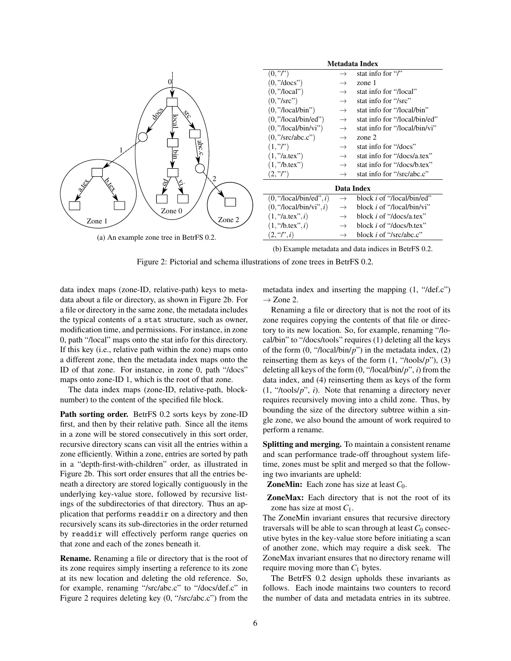

(b) Example metadata and data indices in BetrFS 0.2.

Figure 2: Pictorial and schema illustrations of zone trees in BetrFS 0.2.

data index maps (zone-ID, relative-path) keys to metadata about a file or directory, as shown in Figure 2b. For a file or directory in the same zone, the metadata includes the typical contents of a stat structure, such as owner, modification time, and permissions. For instance, in zone 0, path "/local" maps onto the stat info for this directory. If this key (i.e., relative path within the zone) maps onto a different zone, then the metadata index maps onto the ID of that zone. For instance, in zone 0, path "/docs" maps onto zone-ID 1, which is the root of that zone.

The data index maps (zone-ID, relative-path, blocknumber) to the content of the specified file block.

Path sorting order. BetrFS 0.2 sorts keys by zone-ID first, and then by their relative path. Since all the items in a zone will be stored consecutively in this sort order, recursive directory scans can visit all the entries within a zone efficiently. Within a zone, entries are sorted by path in a "depth-first-with-children" order, as illustrated in Figure 2b. This sort order ensures that all the entries beneath a directory are stored logically contiguously in the underlying key-value store, followed by recursive listings of the subdirectories of that directory. Thus an application that performs readdir on a directory and then recursively scans its sub-directories in the order returned by readdir will effectively perform range queries on that zone and each of the zones beneath it.

Rename. Renaming a file or directory that is the root of its zone requires simply inserting a reference to its zone at its new location and deleting the old reference. So, for example, renaming "/src/abc.c" to "/docs/def.c" in Figure 2 requires deleting key (0, "/src/abc.c") from the metadata index and inserting the mapping (1, "/def.c")  $\rightarrow$  Zone 2.

Renaming a file or directory that is not the root of its zone requires copying the contents of that file or directory to its new location. So, for example, renaming "/local/bin" to "/docs/tools" requires (1) deleting all the keys of the form (0, "/local/bin/*p*") in the metadata index, (2) reinserting them as keys of the form (1, "/tools/*p*"), (3) deleting all keys of the form (0, "/local/bin/*p*", *i*) from the data index, and (4) reinserting them as keys of the form (1, "/tools/*p*", *i*). Note that renaming a directory never requires recursively moving into a child zone. Thus, by bounding the size of the directory subtree within a single zone, we also bound the amount of work required to perform a rename.

Splitting and merging. To maintain a consistent rename and scan performance trade-off throughout system lifetime, zones must be split and merged so that the following two invariants are upheld:

**ZoneMin:** Each zone has size at least  $C_0$ .

ZoneMax: Each directory that is not the root of its zone has size at most *C*1.

The ZoneMin invariant ensures that recursive directory traversals will be able to scan through at least  $C_0$  consecutive bytes in the key-value store before initiating a scan of another zone, which may require a disk seek. The ZoneMax invariant ensures that no directory rename will require moving more than  $C_1$  bytes.

The BetrFS 0.2 design upholds these invariants as follows. Each inode maintains two counters to record the number of data and metadata entries in its subtree.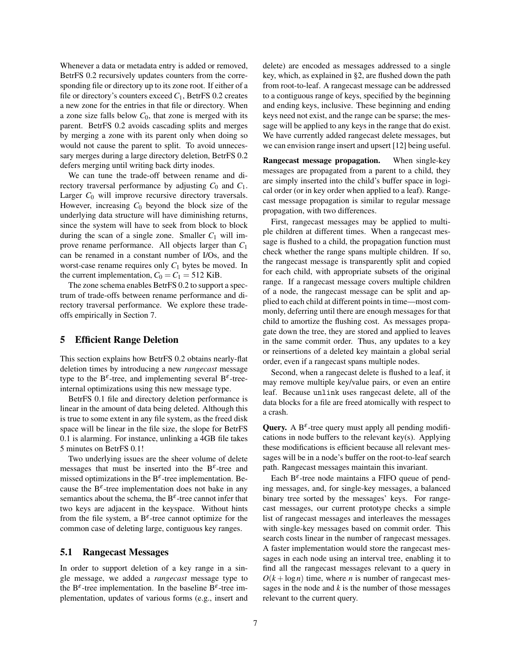Whenever a data or metadata entry is added or removed, BetrFS 0.2 recursively updates counters from the corresponding file or directory up to its zone root. If either of a file or directory's counters exceed *C*1, BetrFS 0.2 creates a new zone for the entries in that file or directory. When a zone size falls below  $C_0$ , that zone is merged with its parent. BetrFS 0.2 avoids cascading splits and merges by merging a zone with its parent only when doing so would not cause the parent to split. To avoid unnecessary merges during a large directory deletion, BetrFS 0.2 defers merging until writing back dirty inodes.

We can tune the trade-off between rename and directory traversal performance by adjusting  $C_0$  and  $C_1$ . Larger *C*<sup>0</sup> will improve recursive directory traversals. However, increasing *C*<sup>0</sup> beyond the block size of the underlying data structure will have diminishing returns, since the system will have to seek from block to block during the scan of a single zone. Smaller  $C_1$  will improve rename performance. All objects larger than *C*<sup>1</sup> can be renamed in a constant number of I/Os, and the worst-case rename requires only *C*<sup>1</sup> bytes be moved. In the current implementation,  $C_0 = C_1 = 512$  KiB.

The zone schema enables BetrFS 0.2 to support a spectrum of trade-offs between rename performance and directory traversal performance. We explore these tradeoffs empirically in Section 7.

### 5 Efficient Range Deletion

This section explains how BetrFS 0.2 obtains nearly-flat deletion times by introducing a new *rangecast* message type to the  $B^{\varepsilon}$ -tree, and implementing several  $B^{\varepsilon}$ -treeinternal optimizations using this new message type.

BetrFS 0.1 file and directory deletion performance is linear in the amount of data being deleted. Although this is true to some extent in any file system, as the freed disk space will be linear in the file size, the slope for BetrFS 0.1 is alarming. For instance, unlinking a 4GB file takes 5 minutes on BetrFS 0.1!

Two underlying issues are the sheer volume of delete messages that must be inserted into the  $B^{\varepsilon}$ -tree and missed optimizations in the  $B^{\varepsilon}$ -tree implementation. Because the  $B^{\varepsilon}$ -tree implementation does not bake in any semantics about the schema, the  $B^{\varepsilon}$ -tree cannot infer that two keys are adjacent in the keyspace. Without hints from the file system, a  $B^{\varepsilon}$ -tree cannot optimize for the common case of deleting large, contiguous key ranges.

## 5.1 Rangecast Messages

In order to support deletion of a key range in a single message, we added a *rangecast* message type to the B<sup> $\varepsilon$ </sup>-tree implementation. In the baseline B<sup> $\varepsilon$ </sup>-tree implementation, updates of various forms (e.g., insert and delete) are encoded as messages addressed to a single key, which, as explained in §2, are flushed down the path from root-to-leaf. A rangecast message can be addressed to a contiguous range of keys, specified by the beginning and ending keys, inclusive. These beginning and ending keys need not exist, and the range can be sparse; the message will be applied to any keys in the range that do exist. We have currently added rangecast delete messages, but we can envision range insert and upsert [12] being useful.

Rangecast message propagation. When single-key messages are propagated from a parent to a child, they are simply inserted into the child's buffer space in logical order (or in key order when applied to a leaf). Rangecast message propagation is similar to regular message propagation, with two differences.

First, rangecast messages may be applied to multiple children at different times. When a rangecast message is flushed to a child, the propagation function must check whether the range spans multiple children. If so, the rangecast message is transparently split and copied for each child, with appropriate subsets of the original range. If a rangecast message covers multiple children of a node, the rangecast message can be split and applied to each child at different points in time—most commonly, deferring until there are enough messages for that child to amortize the flushing cost. As messages propagate down the tree, they are stored and applied to leaves in the same commit order. Thus, any updates to a key or reinsertions of a deleted key maintain a global serial order, even if a rangecast spans multiple nodes.

Second, when a rangecast delete is flushed to a leaf, it may remove multiple key/value pairs, or even an entire leaf. Because unlink uses rangecast delete, all of the data blocks for a file are freed atomically with respect to a crash.

Query. A  $B^{\varepsilon}$ -tree query must apply all pending modifications in node buffers to the relevant key(s). Applying these modifications is efficient because all relevant messages will be in a node's buffer on the root-to-leaf search path. Rangecast messages maintain this invariant.

Each  $B^{\varepsilon}$ -tree node maintains a FIFO queue of pending messages, and, for single-key messages, a balanced binary tree sorted by the messages' keys. For rangecast messages, our current prototype checks a simple list of rangecast messages and interleaves the messages with single-key messages based on commit order. This search costs linear in the number of rangecast messages. A faster implementation would store the rangecast messages in each node using an interval tree, enabling it to find all the rangecast messages relevant to a query in  $O(k + \log n)$  time, where *n* is number of rangecast messages in the node and  $k$  is the number of those messages relevant to the current query.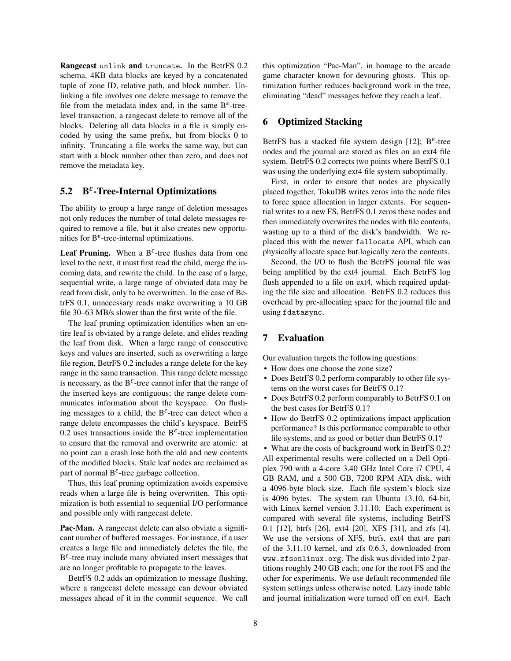Rangecast unlink and truncate. In the BetrFS 0.2 schema, 4KB data blocks are keyed by a concatenated tuple of zone ID, relative path, and block number. Unlinking a file involves one delete message to remove the file from the metadata index and, in the same  $B^{\varepsilon}$ -treelevel transaction, a rangecast delete to remove all of the blocks. Deleting all data blocks in a file is simply encoded by using the same prefix, but from blocks 0 to infinity. Truncating a file works the same way, but can start with a block number other than zero, and does not remove the metadata key.

## 5.2  $B^{\varepsilon}$ -Tree-Internal Optimizations

The ability to group a large range of deletion messages not only reduces the number of total delete messages required to remove a file, but it also creates new opportunities for  $B^{\varepsilon}$ -tree-internal optimizations.

Leaf Pruning. When a  $B^{\varepsilon}$ -tree flushes data from one level to the next, it must first read the child, merge the incoming data, and rewrite the child. In the case of a large, sequential write, a large range of obviated data may be read from disk, only to be overwritten. In the case of BetrFS 0.1, unnecessary reads make overwriting a 10 GB file 30–63 MB/s slower than the first write of the file.

The leaf pruning optimization identifies when an entire leaf is obviated by a range delete, and elides reading the leaf from disk. When a large range of consecutive keys and values are inserted, such as overwriting a large file region, BetrFS 0.2 includes a range delete for the key range in the same transaction. This range delete message is necessary, as the  $B^{\varepsilon}$ -tree cannot infer that the range of the inserted keys are contiguous; the range delete communicates information about the keyspace. On flushing messages to a child, the  $B^{\varepsilon}$ -tree can detect when a range delete encompasses the child's keyspace. BetrFS 0.2 uses transactions inside the  $B^{\varepsilon}$ -tree implementation to ensure that the removal and overwrite are atomic: at no point can a crash lose both the old and new contents of the modified blocks. Stale leaf nodes are reclaimed as part of normal  $B^{\varepsilon}$ -tree garbage collection.

Thus, this leaf pruning optimization avoids expensive reads when a large file is being overwritten. This optimization is both essential to sequential I/O performance and possible only with rangecast delete.

Pac-Man. A rangecast delete can also obviate a significant number of buffered messages. For instance, if a user creates a large file and immediately deletes the file, the  $B^{\varepsilon}$ -tree may include many obviated insert messages that are no longer profitable to propagate to the leaves.

BetrFS 0.2 adds an optimization to message flushing, where a rangecast delete message can devour obviated messages ahead of it in the commit sequence. We call this optimization "Pac-Man", in homage to the arcade game character known for devouring ghosts. This optimization further reduces background work in the tree, eliminating "dead" messages before they reach a leaf.

## 6 Optimized Stacking

BetrFS has a stacked file system design [12];  $B^{\varepsilon}$ -tree nodes and the journal are stored as files on an ext4 file system. BetrFS 0.2 corrects two points where BetrFS 0.1 was using the underlying ext4 file system suboptimally.

First, in order to ensure that nodes are physically placed together, TokuDB writes zeros into the node files to force space allocation in larger extents. For sequential writes to a new FS, BetrFS 0.1 zeros these nodes and then immediately overwrites the nodes with file contents, wasting up to a third of the disk's bandwidth. We replaced this with the newer fallocate API, which can physically allocate space but logically zero the contents.

Second, the I/O to flush the BetrFS journal file was being amplified by the ext4 journal. Each BetrFS log flush appended to a file on ext4, which required updating the file size and allocation. BetrFS 0.2 reduces this overhead by pre-allocating space for the journal file and using fdatasync.

## 7 Evaluation

Our evaluation targets the following questions:

- How does one choose the zone size?
- Does BetrFS 0.2 perform comparably to other file systems on the worst cases for BetrFS 0.1?
- Does BetrFS 0.2 perform comparably to BetrFS 0.1 on the best cases for BetrFS 0.1?
- How do BetrFS 0.2 optimizations impact application performance? Is this performance comparable to other file systems, and as good or better than BetrFS 0.1?

• What are the costs of background work in BetrFS 0.2? All experimental results were collected on a Dell Optiplex 790 with a 4-core 3.40 GHz Intel Core i7 CPU, 4 GB RAM, and a 500 GB, 7200 RPM ATA disk, with a 4096-byte block size. Each file system's block size is 4096 bytes. The system ran Ubuntu 13.10, 64-bit, with Linux kernel version 3.11.10. Each experiment is compared with several file systems, including BetrFS 0.1 [12], btrfs [26], ext4 [20], XFS [31], and zfs [4]. We use the versions of XFS, btrfs, ext4 that are part of the 3.11.10 kernel, and zfs 0.6.3, downloaded from www.zfsonlinux.org. The disk was divided into 2 partitions roughly 240 GB each; one for the root FS and the other for experiments. We use default recommended file system settings unless otherwise noted. Lazy inode table and journal initialization were turned off on ext4. Each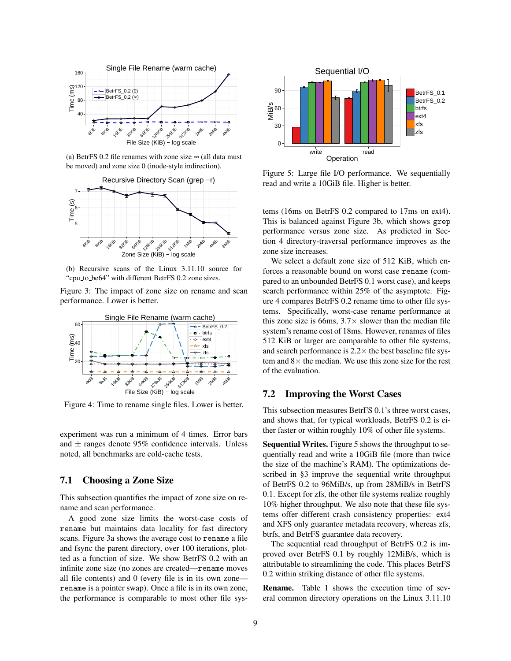

(a) BetrFS 0.2 file renames with zone size  $\infty$  (all data must be moved) and zone size 0 (inode-style indirection).



(b) Recursive scans of the Linux 3.11.10 source for "cpu to be64" with different BetrFS 0.2 zone sizes.

Figure 3: The impact of zone size on rename and scan performance. Lower is better.



Figure 4: Time to rename single files. Lower is better.

experiment was run a minimum of 4 times. Error bars and  $\pm$  ranges denote 95% confidence intervals. Unless noted, all benchmarks are cold-cache tests.

## 7.1 Choosing a Zone Size

This subsection quantifies the impact of zone size on rename and scan performance.

A good zone size limits the worst-case costs of rename but maintains data locality for fast directory scans. Figure 3a shows the average cost to rename a file and fsync the parent directory, over 100 iterations, plotted as a function of size. We show BetrFS 0.2 with an infinite zone size (no zones are created—rename moves all file contents) and 0 (every file is in its own zone rename is a pointer swap). Once a file is in its own zone, the performance is comparable to most other file sys-



Figure 5: Large file I/O performance. We sequentially read and write a 10GiB file. Higher is better.

tems (16ms on BetrFS 0.2 compared to 17ms on ext4). This is balanced against Figure 3b, which shows grep performance versus zone size. As predicted in Section 4 directory-traversal performance improves as the zone size increases.

We select a default zone size of 512 KiB, which enforces a reasonable bound on worst case rename (compared to an unbounded BetrFS 0.1 worst case), and keeps search performance within 25% of the asymptote. Figure 4 compares BetrFS 0.2 rename time to other file systems. Specifically, worst-case rename performance at this zone size is 66ms,  $3.7\times$  slower than the median file system's rename cost of 18ms. However, renames of files 512 KiB or larger are comparable to other file systems, and search performance is  $2.2 \times$  the best baseline file system and  $8 \times$  the median. We use this zone size for the rest of the evaluation.

## 7.2 Improving the Worst Cases

This subsection measures BetrFS 0.1's three worst cases, and shows that, for typical workloads, BetrFS 0.2 is either faster or within roughly 10% of other file systems.

Sequential Writes. Figure 5 shows the throughput to sequentially read and write a 10GiB file (more than twice the size of the machine's RAM). The optimizations described in §3 improve the sequential write throughput of BetrFS 0.2 to 96MiB/s, up from 28MiB/s in BetrFS 0.1. Except for zfs, the other file systems realize roughly 10% higher throughput. We also note that these file systems offer different crash consistency properties: ext4 and XFS only guarantee metadata recovery, whereas zfs, btrfs, and BetrFS guarantee data recovery.

The sequential read throughput of BetrFS 0.2 is improved over BetrFS 0.1 by roughly 12MiB/s, which is attributable to streamlining the code. This places BetrFS 0.2 within striking distance of other file systems.

Rename. Table 1 shows the execution time of several common directory operations on the Linux 3.11.10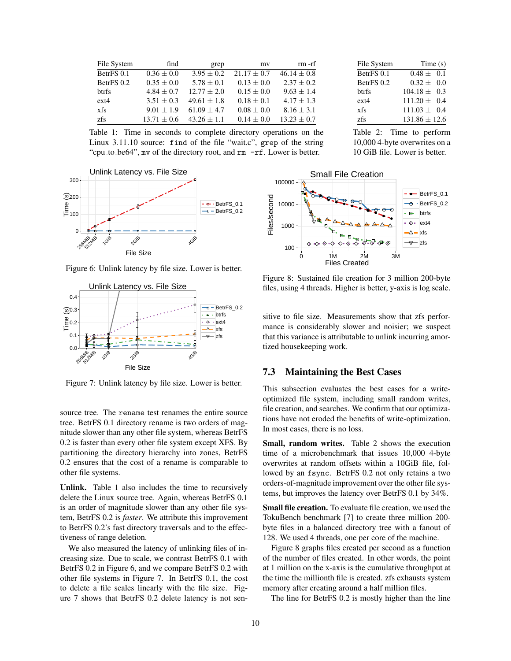| File System | find           | grep            | my              | $rm$ - $rf$     |
|-------------|----------------|-----------------|-----------------|-----------------|
| BetrFS 0.1  | $0.36 \pm 0.0$ | $3.95 \pm 0.2$  | $21.17 \pm 0.7$ | $46.14 \pm 0.8$ |
| BetrFS 0.2  | $0.35 \pm 0.0$ | $5.78 \pm 0.1$  | $0.13 \pm 0.0$  | $2.37 \pm 0.2$  |
| btrfs       | $4.84 + 0.7$   | $12.77 + 2.0$   | $0.15 \pm 0.0$  | $9.63 \pm 1.4$  |
| $ext{4}$    | $3.51 + 0.3$   | $49.61 \pm 1.8$ | $0.18 \pm 0.1$  | $4.17 \pm 1.3$  |
| xfs         | $9.01 + 1.9$   | $61.09 + 4.7$   | $0.08 \pm 0.0$  | $8.16 \pm 3.1$  |
| zfs         | $13.71 + 0.6$  | $43.26 + 1.1$   | $0.14 \pm 0.0$  | $13.23 + 0.7$   |

Table 1: Time in seconds to complete directory operations on the Linux 3.11.10 source: find of the file "wait.c", grep of the string "cpu to be64", mv of the directory root, and rm -rf. Lower is better.



Figure 6: Unlink latency by file size. Lower is better.



Figure 7: Unlink latency by file size. Lower is better.

source tree. The rename test renames the entire source tree. BetrFS 0.1 directory rename is two orders of magnitude slower than any other file system, whereas BetrFS 0.2 is faster than every other file system except XFS. By partitioning the directory hierarchy into zones, BetrFS 0.2 ensures that the cost of a rename is comparable to other file systems.

Unlink. Table 1 also includes the time to recursively delete the Linux source tree. Again, whereas BetrFS 0.1 is an order of magnitude slower than any other file system, BetrFS 0.2 is *faster*. We attribute this improvement to BetrFS 0.2's fast directory traversals and to the effectiveness of range deletion.

We also measured the latency of unlinking files of increasing size. Due to scale, we contrast BetrFS 0.1 with BetrFS 0.2 in Figure 6, and we compare BetrFS 0.2 with other file systems in Figure 7. In BetrFS 0.1, the cost to delete a file scales linearly with the file size. Figure 7 shows that BetrFS 0.2 delete latency is not sen-

| File System | Time(s)           |
|-------------|-------------------|
| BetrFS 0.1  | $0.48 + 0.1$      |
| BetrFS 0.2  | $0.32 \pm 0.0$    |
| btrfs       | $104.18 + 0.3$    |
| $ext{4}$    | $111.20 \pm 0.4$  |
| xfs         | $111.03 + 0.4$    |
| zfs         | $131.86 \pm 12.6$ |

Table 2: Time to perform 10,000 4-byte overwrites on a 10 GiB file. Lower is better.



Figure 8: Sustained file creation for 3 million 200-byte files, using 4 threads. Higher is better, y-axis is log scale.

sitive to file size. Measurements show that zfs performance is considerably slower and noisier; we suspect that this variance is attributable to unlink incurring amortized housekeeping work.

### 7.3 Maintaining the Best Cases

This subsection evaluates the best cases for a writeoptimized file system, including small random writes, file creation, and searches. We confirm that our optimizations have not eroded the benefits of write-optimization. In most cases, there is no loss.

Small, random writes. Table 2 shows the execution time of a microbenchmark that issues 10,000 4-byte overwrites at random offsets within a 10GiB file, followed by an fsync. BetrFS 0.2 not only retains a two orders-of-magnitude improvement over the other file systems, but improves the latency over BetrFS 0.1 by 34%.

Small file creation. To evaluate file creation, we used the TokuBench benchmark [7] to create three million 200 byte files in a balanced directory tree with a fanout of 128. We used 4 threads, one per core of the machine.

Figure 8 graphs files created per second as a function of the number of files created. In other words, the point at 1 million on the x-axis is the cumulative throughput at the time the millionth file is created. zfs exhausts system memory after creating around a half million files.

The line for BetrFS 0.2 is mostly higher than the line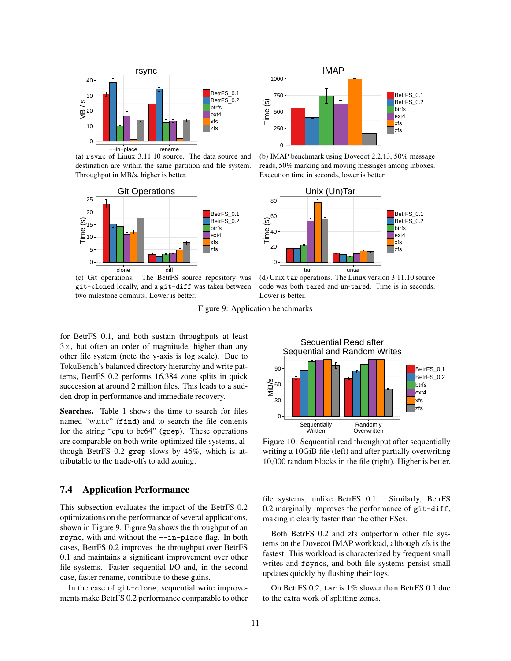

(a) rsync of Linux 3.11.10 source. The data source and destination are within the same partition and file system. Throughput in MB/s, higher is better.



(c) Git operations. The BetrFS source repository was git-cloned locally, and a git-diff was taken between two milestone commits. Lower is better.



(b) IMAP benchmark using Dovecot 2.2.13, 50% message reads, 50% marking and moving messages among inboxes. Execution time in seconds, lower is better.



(d) Unix tar operations. The Linux version 3.11.10 source code was both tared and un-tared. Time is in seconds. Lower is better.

Figure 9: Application benchmarks

for BetrFS 0.1, and both sustain throughputs at least  $3\times$ , but often an order of magnitude, higher than any other file system (note the y-axis is log scale). Due to TokuBench's balanced directory hierarchy and write patterns, BetrFS 0.2 performs 16,384 zone splits in quick succession at around 2 million files. This leads to a sudden drop in performance and immediate recovery.

Searches. Table 1 shows the time to search for files named "wait.c" (find) and to search the file contents for the string "cpu to be64" (grep). These operations are comparable on both write-optimized file systems, although BetrFS 0.2 grep slows by 46%, which is attributable to the trade-offs to add zoning.

## 7.4 Application Performance

This subsection evaluates the impact of the BetrFS 0.2 optimizations on the performance of several applications, shown in Figure 9. Figure 9a shows the throughput of an rsync, with and without the --in-place flag. In both cases, BetrFS 0.2 improves the throughput over BetrFS 0.1 and maintains a significant improvement over other file systems. Faster sequential I/O and, in the second case, faster rename, contribute to these gains.

In the case of git-clone, sequential write improvements make BetrFS 0.2 performance comparable to other



Figure 10: Sequential read throughput after sequentially writing a 10GiB file (left) and after partially overwriting 10,000 random blocks in the file (right). Higher is better.

file systems, unlike BetrFS 0.1. Similarly, BetrFS 0.2 marginally improves the performance of git-diff, making it clearly faster than the other FSes.

Both BetrFS 0.2 and zfs outperform other file systems on the Dovecot IMAP workload, although zfs is the fastest. This workload is characterized by frequent small writes and fsyncs, and both file systems persist small updates quickly by flushing their logs.

On BetrFS 0.2, tar is 1% slower than BetrFS 0.1 due to the extra work of splitting zones.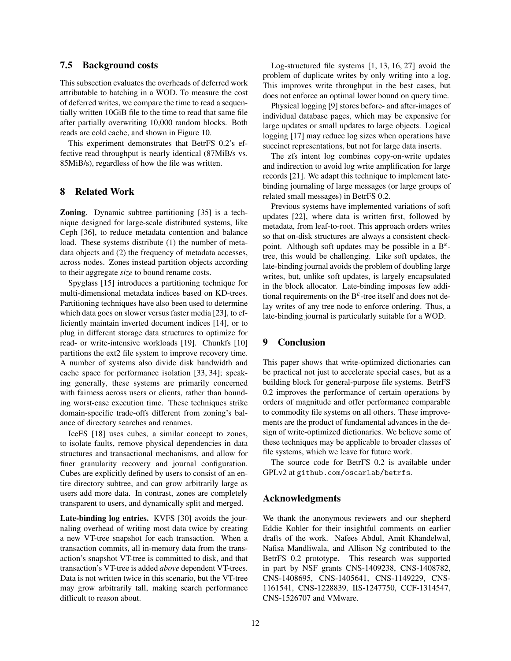## 7.5 Background costs

This subsection evaluates the overheads of deferred work attributable to batching in a WOD. To measure the cost of deferred writes, we compare the time to read a sequentially written 10GiB file to the time to read that same file after partially overwriting 10,000 random blocks. Both reads are cold cache, and shown in Figure 10.

This experiment demonstrates that BetrFS 0.2's effective read throughput is nearly identical (87MiB/s vs. 85MiB/s), regardless of how the file was written.

## 8 Related Work

Zoning. Dynamic subtree partitioning [35] is a technique designed for large-scale distributed systems, like Ceph [36], to reduce metadata contention and balance load. These systems distribute (1) the number of metadata objects and (2) the frequency of metadata accesses, across nodes. Zones instead partition objects according to their aggregate *size* to bound rename costs.

Spyglass [15] introduces a partitioning technique for multi-dimensional metadata indices based on KD-trees. Partitioning techniques have also been used to determine which data goes on slower versus faster media [23], to efficiently maintain inverted document indices [14], or to plug in different storage data structures to optimize for read- or write-intensive workloads [19]. Chunkfs [10] partitions the ext2 file system to improve recovery time. A number of systems also divide disk bandwidth and cache space for performance isolation [33, 34]; speaking generally, these systems are primarily concerned with fairness across users or clients, rather than bounding worst-case execution time. These techniques strike domain-specific trade-offs different from zoning's balance of directory searches and renames.

IceFS [18] uses cubes, a similar concept to zones, to isolate faults, remove physical dependencies in data structures and transactional mechanisms, and allow for finer granularity recovery and journal configuration. Cubes are explicitly defined by users to consist of an entire directory subtree, and can grow arbitrarily large as users add more data. In contrast, zones are completely transparent to users, and dynamically split and merged.

Late-binding log entries. KVFS [30] avoids the journaling overhead of writing most data twice by creating a new VT-tree snapshot for each transaction. When a transaction commits, all in-memory data from the transaction's snapshot VT-tree is committed to disk, and that transaction's VT-tree is added *above* dependent VT-trees. Data is not written twice in this scenario, but the VT-tree may grow arbitrarily tall, making search performance difficult to reason about.

Log-structured file systems [1, 13, 16, 27] avoid the problem of duplicate writes by only writing into a log. This improves write throughput in the best cases, but does not enforce an optimal lower bound on query time.

Physical logging [9] stores before- and after-images of individual database pages, which may be expensive for large updates or small updates to large objects. Logical logging [17] may reduce log sizes when operations have succinct representations, but not for large data inserts.

The zfs intent log combines copy-on-write updates and indirection to avoid log write amplification for large records [21]. We adapt this technique to implement latebinding journaling of large messages (or large groups of related small messages) in BetrFS 0.2.

Previous systems have implemented variations of soft updates [22], where data is written first, followed by metadata, from leaf-to-root. This approach orders writes so that on-disk structures are always a consistent checkpoint. Although soft updates may be possible in a  $B^{\varepsilon}$ tree, this would be challenging. Like soft updates, the late-binding journal avoids the problem of doubling large writes, but, unlike soft updates, is largely encapsulated in the block allocator. Late-binding imposes few additional requirements on the  $B^{\varepsilon}$ -tree itself and does not delay writes of any tree node to enforce ordering. Thus, a late-binding journal is particularly suitable for a WOD.

## 9 Conclusion

This paper shows that write-optimized dictionaries can be practical not just to accelerate special cases, but as a building block for general-purpose file systems. BetrFS 0.2 improves the performance of certain operations by orders of magnitude and offer performance comparable to commodity file systems on all others. These improvements are the product of fundamental advances in the design of write-optimized dictionaries. We believe some of these techniques may be applicable to broader classes of file systems, which we leave for future work.

The source code for BetrFS 0.2 is available under GPLv2 at github.com/oscarlab/betrfs.

## Acknowledgments

We thank the anonymous reviewers and our shepherd Eddie Kohler for their insightful comments on earlier drafts of the work. Nafees Abdul, Amit Khandelwal, Nafisa Mandliwala, and Allison Ng contributed to the BetrFS 0.2 prototype. This research was supported in part by NSF grants CNS-1409238, CNS-1408782, CNS-1408695, CNS-1405641, CNS-1149229, CNS-1161541, CNS-1228839, IIS-1247750, CCF-1314547, CNS-1526707 and VMware.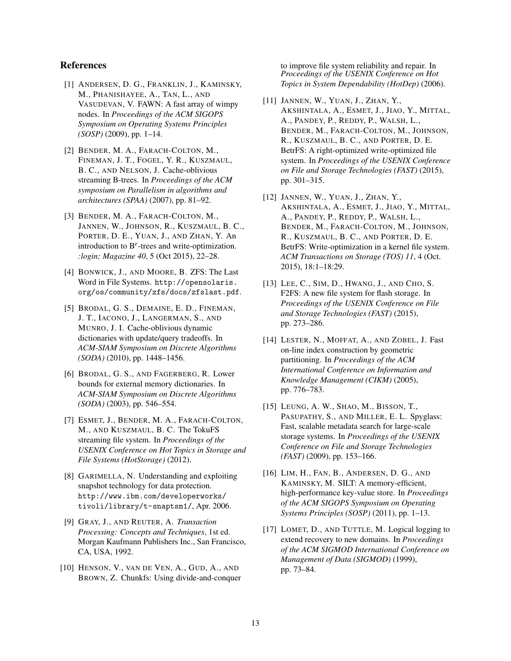## References

- [1] ANDERSEN, D. G., FRANKLIN, J., KAMINSKY, M., PHANISHAYEE, A., TAN, L., AND VASUDEVAN, V. FAWN: A fast array of wimpy nodes. In *Proceedings of the ACM SIGOPS Symposium on Operating Systems Principles (SOSP)* (2009), pp. 1–14.
- [2] BENDER, M. A., FARACH-COLTON, M., FINEMAN, J. T., FOGEL, Y. R., KUSZMAUL, B. C., AND NELSON, J. Cache-oblivious streaming B-trees. In *Proceedings of the ACM symposium on Parallelism in algorithms and architectures (SPAA)* (2007), pp. 81–92.
- [3] BENDER, M. A., FARACH-COLTON, M., JANNEN, W., JOHNSON, R., KUSZMAUL, B. C., PORTER, D. E., YUAN, J., AND ZHAN, Y. An introduction to B*<sup>e</sup>* -trees and write-optimization. *:login; Magazine 40*, 5 (Oct 2015), 22–28.
- [4] BONWICK, J., AND MOORE, B. ZFS: The Last Word in File Systems. http://opensolaris. org/os/community/zfs/docs/zfslast.pdf.
- [5] BRODAL, G. S., DEMAINE, E. D., FINEMAN, J. T., IACONO, J., LANGERMAN, S., AND MUNRO, J. I. Cache-oblivious dynamic dictionaries with update/query tradeoffs. In *ACM-SIAM Symposium on Discrete Algorithms (SODA)* (2010), pp. 1448–1456.
- [6] BRODAL, G. S., AND FAGERBERG, R. Lower bounds for external memory dictionaries. In *ACM-SIAM Symposium on Discrete Algorithms (SODA)* (2003), pp. 546–554.
- [7] ESMET, J., BENDER, M. A., FARACH-COLTON, M., AND KUSZMAUL, B. C. The TokuFS streaming file system. In *Proceedings of the USENIX Conference on Hot Topics in Storage and File Systems (HotStorage)* (2012).
- [8] GARIMELLA, N. Understanding and exploiting snapshot technology for data protection. http://www.ibm.com/developerworks/ tivoli/library/t-snaptsm1/, Apr. 2006.
- [9] GRAY, J., AND REUTER, A. *Transaction Processing: Concepts and Techniques*, 1st ed. Morgan Kaufmann Publishers Inc., San Francisco, CA, USA, 1992.
- [10] HENSON, V., VAN DE VEN, A., GUD, A., AND BROWN, Z. Chunkfs: Using divide-and-conquer

to improve file system reliability and repair. In *Proceedings of the USENIX Conference on Hot Topics in System Dependability (HotDep)* (2006).

- [11] JANNEN, W., YUAN, J., ZHAN, Y., AKSHINTALA, A., ESMET, J., JIAO, Y., MITTAL, A., PANDEY, P., REDDY, P., WALSH, L., BENDER, M., FARACH-COLTON, M., JOHNSON, R., KUSZMAUL, B. C., AND PORTER, D. E. BetrFS: A right-optimized write-optimized file system. In *Proceedings of the USENIX Conference on File and Storage Technologies (FAST)* (2015), pp. 301–315.
- [12] JANNEN, W., YUAN, J., ZHAN, Y., AKSHINTALA, A., ESMET, J., JIAO, Y., MITTAL, A., PANDEY, P., REDDY, P., WALSH, L., BENDER, M., FARACH-COLTON, M., JOHNSON, R., KUSZMAUL, B. C., AND PORTER, D. E. BetrFS: Write-optimization in a kernel file system. *ACM Transactions on Storage (TOS) 11*, 4 (Oct. 2015), 18:1–18:29.
- [13] LEE, C., SIM, D., HWANG, J., AND CHO, S. F2FS: A new file system for flash storage. In *Proceedings of the USENIX Conference on File and Storage Technologies (FAST)* (2015), pp. 273–286.
- [14] LESTER, N., MOFFAT, A., AND ZOBEL, J. Fast on-line index construction by geometric partitioning. In *Proceedings of the ACM International Conference on Information and Knowledge Management (CIKM)* (2005), pp. 776–783.
- [15] LEUNG, A. W., SHAO, M., BISSON, T., PASUPATHY, S., AND MILLER, E. L. Spyglass: Fast, scalable metadata search for large-scale storage systems. In *Proceedings of the USENIX Conference on File and Storage Technologies (FAST)* (2009), pp. 153–166.
- [16] LIM, H., FAN, B., ANDERSEN, D. G., AND KAMINSKY, M. SILT: A memory-efficient, high-performance key-value store. In *Proceedings of the ACM SIGOPS Symposium on Operating Systems Principles (SOSP)* (2011), pp. 1–13.
- [17] LOMET, D., AND TUTTLE, M. Logical logging to extend recovery to new domains. In *Proceedings of the ACM SIGMOD International Conference on Management of Data (SIGMOD)* (1999), pp. 73–84.